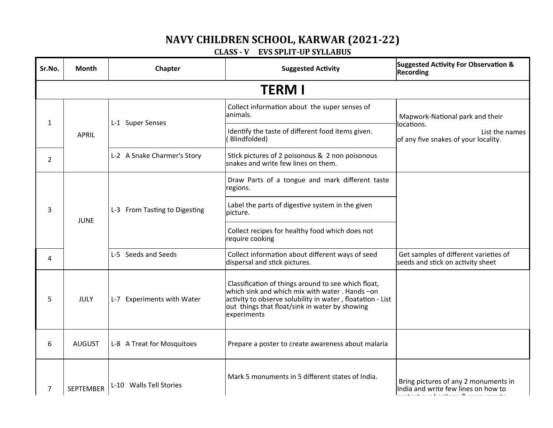## **NAVY CHILDREN SCHOOL, KARWAR (2021-22)**

## **CLASS - V EVS SPLIT-UP SYLLABUS**

| Sr.No.         | <b>Month</b>     | Chapter                       | <b>Suggested Activity</b>                                                                                                                                                                                                             | <b>Suggested Activity For Observation &amp;</b><br><b>Recording</b>                                     |
|----------------|------------------|-------------------------------|---------------------------------------------------------------------------------------------------------------------------------------------------------------------------------------------------------------------------------------|---------------------------------------------------------------------------------------------------------|
|                |                  |                               | <b>TERM I</b>                                                                                                                                                                                                                         |                                                                                                         |
| $\mathbf{1}$   | <b>APRIL</b>     | L-1 Super Senses              | Collect information about the super senses of<br>lanimals.                                                                                                                                                                            | Mapwork-National park and their<br>locations.<br>List the names<br>of any five snakes of your locality. |
|                |                  |                               | Identify the taste of different food items given.<br>Blindfolded)                                                                                                                                                                     |                                                                                                         |
| $\overline{2}$ |                  | L-2 A Snake Charmer's Story   | Stick pictures of 2 poisonous & 2 non poisonous<br>snakes and write few lines on them.                                                                                                                                                |                                                                                                         |
| 3              | <b>JUNE</b>      | L-3 From Tasting to Digesting | Draw Parts of a tongue and mark different taste<br>regions.                                                                                                                                                                           |                                                                                                         |
|                |                  |                               | Label the parts of digestive system in the given<br>picture.                                                                                                                                                                          |                                                                                                         |
|                |                  |                               | Collect recipes for healthy food which does not<br>require cooking                                                                                                                                                                    |                                                                                                         |
| 4              |                  | L-5 Seeds and Seeds           | Collect information about different ways of seed<br>dispersal and stick pictures.                                                                                                                                                     | Get samples of different varieties of<br>seeds and stick on activity sheet                              |
| 5              | JULY             | L-7 Experiments with Water    | Classification of things around to see which float,<br>which sink and which mix with water . Hands -on<br>activity to observe solubility in water, floatation - List<br>out things that float/sink in water by showing<br>experiments |                                                                                                         |
| 6              | <b>AUGUST</b>    | L-8 A Treat for Mosquitoes    | Prepare a poster to create awareness about malaria                                                                                                                                                                                    |                                                                                                         |
| 7              | <b>SEPTEMBER</b> | L-10 Walls Tell Stories       | Mark 5 monuments in 5 different states of India.                                                                                                                                                                                      | Bring pictures of any 2 monuments in<br>India and write few lines on how to                             |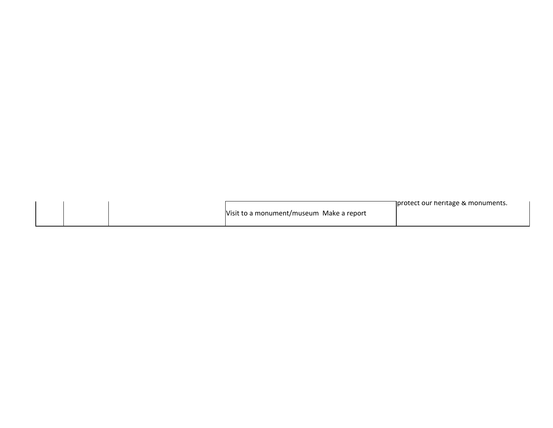|  |                                          | ∏protect our heritage & monuments. |
|--|------------------------------------------|------------------------------------|
|  | Visit to a monument/museum Make a report |                                    |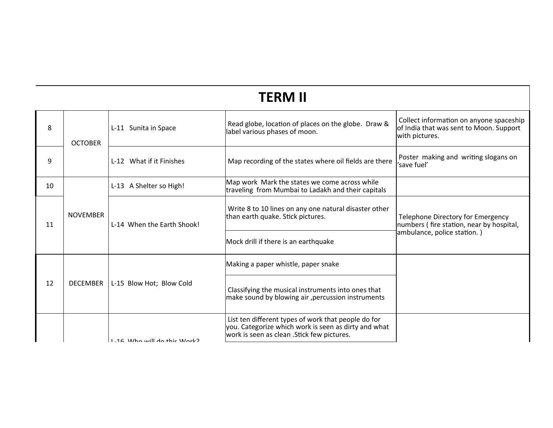## **TERM II**

| 8  | <b>OCTOBER</b>  | L-11 Sunita in Space                | Read globe, location of places on the globe. Draw &<br>label various phases of moon.                                                                       | Collect information on anyone spaceship<br>of India that was sent to Moon. Support<br>with pictures.         |
|----|-----------------|-------------------------------------|------------------------------------------------------------------------------------------------------------------------------------------------------------|--------------------------------------------------------------------------------------------------------------|
| 9  |                 | L-12 What if it Finishes            | Map recording of the states where oil fields are there                                                                                                     | Poster making and writing slogans on<br>'save fuel'                                                          |
| 10 |                 | L-13 A Shelter so High!             | Map work Mark the states we come across while<br>traveling from Mumbai to Ladakh and their capitals                                                        |                                                                                                              |
| 11 | <b>NOVEMBER</b> | L-14 When the Earth Shook!          | Write 8 to 10 lines on any one natural disaster other<br>than earth quake. Stick pictures.                                                                 | Telephone Directory for Emergency<br>numbers (fire station, near by hospital,<br>ambulance, police station.) |
|    |                 |                                     | Mock drill if there is an earthquake                                                                                                                       |                                                                                                              |
| 12 |                 | DECEMBER   L-15 Blow Hot; Blow Cold | Making a paper whistle, paper snake                                                                                                                        |                                                                                                              |
|    |                 |                                     | Classifying the musical instruments into ones that<br>make sound by blowing air , percussion instruments                                                   |                                                                                                              |
|    |                 | $11 - 16$ Who will do this Work?    | List ten different types of work that people do for<br>you. Categorize which work is seen as dirty and what<br>work is seen as clean . Stick few pictures. |                                                                                                              |